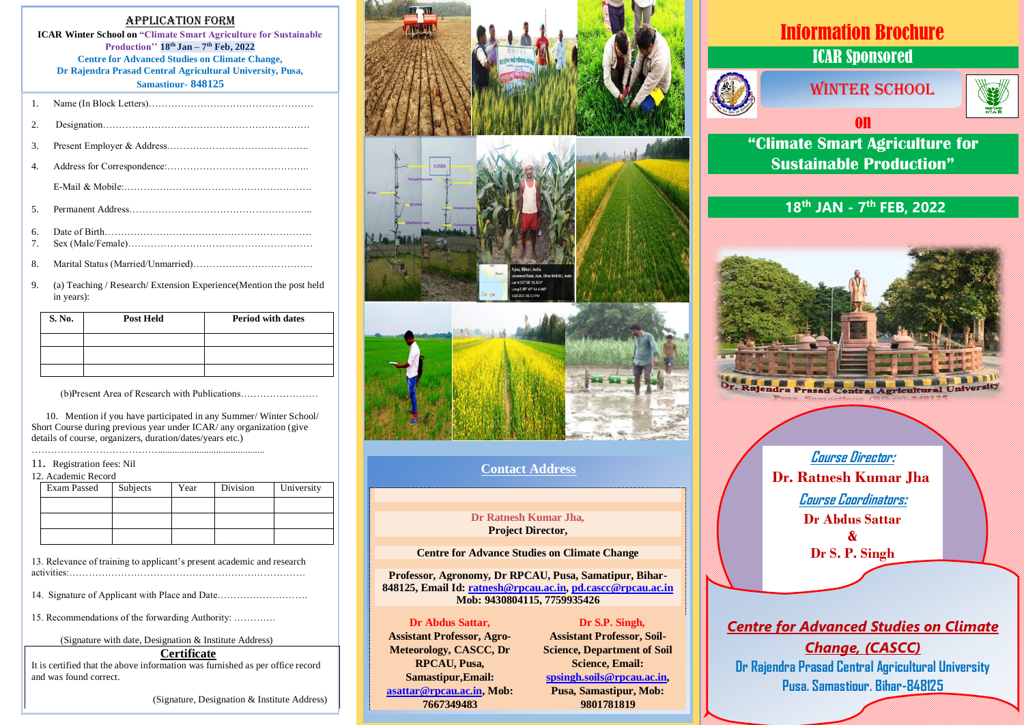#### Application Form

**ICAR Winter School on "Climate Smart Agriculture for Sustainable Production'' 18th Jan – 7 th Feb, 2022 Centre for Advanced Studies on Climate Change, Dr Rajendra Prasad Central Agricultural University, Pusa, Samastipur- 848125**

| 2. |  |
|----|--|
| 3. |  |
| 4. |  |
|    |  |
| .5 |  |
| б. |  |
| 7. |  |
| 8. |  |

9. (a) Teaching / Research/ Extension Experience(Mention the post held in years):

| S. No. | <b>Post Held</b> | <b>Period with dates</b> |
|--------|------------------|--------------------------|
|        |                  |                          |
|        |                  |                          |
|        |                  |                          |

(b)Present Area of Research with Publications……………………

 10. Mention if you have participated in any Summer/ Winter School/ Short Course during previous year under ICAR/ any organization (give details of course, organizers, duration/dates/years etc.) …………………………………............................................

#### 11. Registration fees: Nil

| 12. Academic Record |          |      |          |            |
|---------------------|----------|------|----------|------------|
| Exam Passed         | Subjects | Year | Division | University |
|                     |          |      |          |            |
|                     |          |      |          |            |
|                     |          |      |          |            |

13. Relevance of training to applicant's present academic and research activities:……………………………………………………………….

14. Signature of Applicant with Place and Date……………………….

15. Recommendations of the forwarding Authority: ………….

(Signature with date, Designation & Institute Address)

#### **Certificate**

It is certified that the above information was furnished as per office record and was found correct.

(Signature, Designation & Institute Address)







#### **Contact Address**

#### **Dr Ratnesh Kumar Jha, Project Director,**

#### **Centre for Advance Studies on Climate Change**

**Professor, Agronomy, Dr RPCAU, Pusa, Samatipur, Bihar-848125, Email Id: [ratnesh@rpcau.ac.in,](mailto:ratnesh@rpcau.ac.in) [pd.cascc@rpcau.ac.in](mailto:pd.cascc@rpcau.ac.in) Mob: 9430804115, 7759935426**

#### **Dr Abdus Sattar,**

**Assistant Professor, Agro-Meteorology, CASCC, Dr RPCAU, Pusa, Samastipur,Email: [asattar@rpcau.ac.in,](mailto:asattar@rpcau.ac.in) Mob: 7667349483**

#### **Dr S.P. Singh,**

**Assistant Professor, Soil-Science, Department of Soil Science, Email: [spsingh.soils@rpcau.ac.in,](mailto:spsingh.soils@rpcau.ac.in) Pusa, Samastipur, Mob: 9801781819**

# Information Brochure ICAR Sponsored



# *MINTER SCHOOL*



**"Climate Smart Agriculture for Sustainable Production"**

on

## **18th JAN - 7 th FEB, 2022**



**Course Director: Dr. Ratnesh Kumar Jha Course Coordinators: Dr Abdus Sattar & Dr S. P. Singh**

### *Centre for Advanced Studies on Climate*

*Change, (CASCC)* **Dr Rajendra Prasad Central Agricultural University Pusa, Samastipur, Bihar-848125**